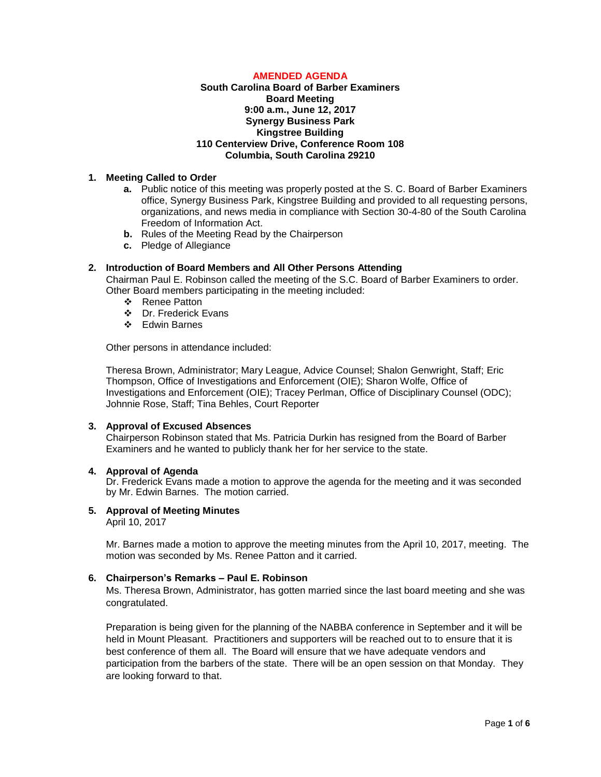# **AMENDED AGENDA**

## **South Carolina Board of Barber Examiners Board Meeting 9:00 a.m., June 12, 2017 Synergy Business Park Kingstree Building 110 Centerview Drive, Conference Room 108 Columbia, South Carolina 29210**

# **1. Meeting Called to Order**

- **a.** Public notice of this meeting was properly posted at the S. C. Board of Barber Examiners office, Synergy Business Park, Kingstree Building and provided to all requesting persons, organizations, and news media in compliance with Section 30-4-80 of the South Carolina Freedom of Information Act.
- **b.** Rules of the Meeting Read by the Chairperson
- **c.** Pledge of Allegiance

#### **2. Introduction of Board Members and All Other Persons Attending**

Chairman Paul E. Robinson called the meeting of the S.C. Board of Barber Examiners to order. Other Board members participating in the meeting included:

- ❖ Renee Patton
- Dr. Frederick Evans
- Edwin Barnes

Other persons in attendance included:

Theresa Brown, Administrator; Mary League, Advice Counsel; Shalon Genwright, Staff; Eric Thompson, Office of Investigations and Enforcement (OIE); Sharon Wolfe, Office of Investigations and Enforcement (OIE); Tracey Perlman, Office of Disciplinary Counsel (ODC); Johnnie Rose, Staff; Tina Behles, Court Reporter

### **3. Approval of Excused Absences**

Chairperson Robinson stated that Ms. Patricia Durkin has resigned from the Board of Barber Examiners and he wanted to publicly thank her for her service to the state.

#### **4. Approval of Agenda**

Dr. Frederick Evans made a motion to approve the agenda for the meeting and it was seconded by Mr. Edwin Barnes. The motion carried.

# **5. Approval of Meeting Minutes**

April 10, 2017

Mr. Barnes made a motion to approve the meeting minutes from the April 10, 2017, meeting. The motion was seconded by Ms. Renee Patton and it carried.

### **6. Chairperson's Remarks – Paul E. Robinson**

Ms. Theresa Brown, Administrator, has gotten married since the last board meeting and she was congratulated.

Preparation is being given for the planning of the NABBA conference in September and it will be held in Mount Pleasant. Practitioners and supporters will be reached out to to ensure that it is best conference of them all. The Board will ensure that we have adequate vendors and participation from the barbers of the state. There will be an open session on that Monday. They are looking forward to that.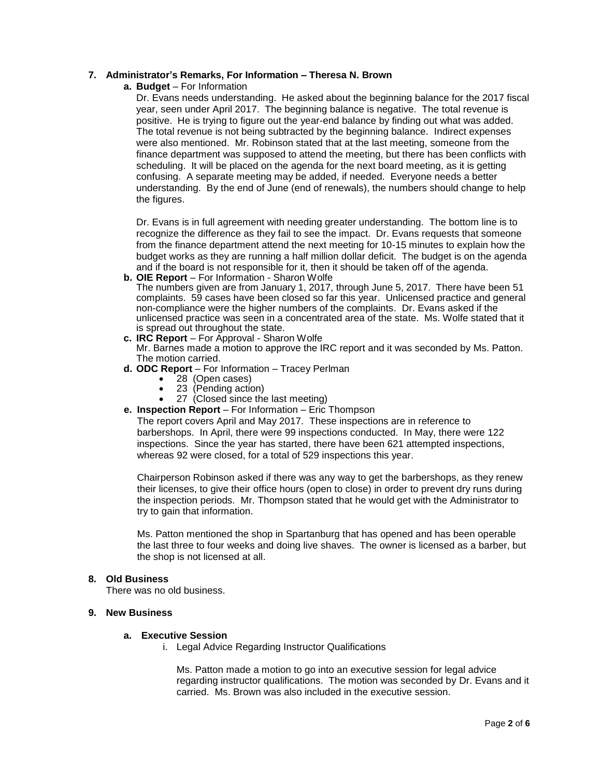## **7. Administrator's Remarks, For Information – Theresa N. Brown**

**a. Budget** – For Information

Dr. Evans needs understanding. He asked about the beginning balance for the 2017 fiscal year, seen under April 2017. The beginning balance is negative. The total revenue is positive. He is trying to figure out the year-end balance by finding out what was added. The total revenue is not being subtracted by the beginning balance. Indirect expenses were also mentioned. Mr. Robinson stated that at the last meeting, someone from the finance department was supposed to attend the meeting, but there has been conflicts with scheduling. It will be placed on the agenda for the next board meeting, as it is getting confusing. A separate meeting may be added, if needed. Everyone needs a better understanding. By the end of June (end of renewals), the numbers should change to help the figures.

Dr. Evans is in full agreement with needing greater understanding. The bottom line is to recognize the difference as they fail to see the impact. Dr. Evans requests that someone from the finance department attend the next meeting for 10-15 minutes to explain how the budget works as they are running a half million dollar deficit. The budget is on the agenda and if the board is not responsible for it, then it should be taken off of the agenda.

**b. OIE Report** – For Information - Sharon Wolfe

The numbers given are from January 1, 2017, through June 5, 2017. There have been 51 complaints. 59 cases have been closed so far this year. Unlicensed practice and general non-compliance were the higher numbers of the complaints. Dr. Evans asked if the unlicensed practice was seen in a concentrated area of the state. Ms. Wolfe stated that it is spread out throughout the state.

**c. IRC Report** – For Approval - Sharon Wolfe

Mr. Barnes made a motion to approve the IRC report and it was seconded by Ms. Patton. The motion carried.

- **d. ODC Report**  For Information Tracey Perlman
	- 28 (Open cases)
	- 23 (Pending action)
	- 27 (Closed since the last meeting)
- **e. Inspection Report** For Information Eric Thompson

The report covers April and May 2017. These inspections are in reference to barbershops. In April, there were 99 inspections conducted. In May, there were 122 inspections. Since the year has started, there have been 621 attempted inspections, whereas 92 were closed, for a total of 529 inspections this year.

Chairperson Robinson asked if there was any way to get the barbershops, as they renew their licenses, to give their office hours (open to close) in order to prevent dry runs during the inspection periods. Mr. Thompson stated that he would get with the Administrator to try to gain that information.

Ms. Patton mentioned the shop in Spartanburg that has opened and has been operable the last three to four weeks and doing live shaves. The owner is licensed as a barber, but the shop is not licensed at all.

#### **8. Old Business**

There was no old business.

#### **9. New Business**

#### **a. Executive Session**

i. Legal Advice Regarding Instructor Qualifications

Ms. Patton made a motion to go into an executive session for legal advice regarding instructor qualifications. The motion was seconded by Dr. Evans and it carried. Ms. Brown was also included in the executive session.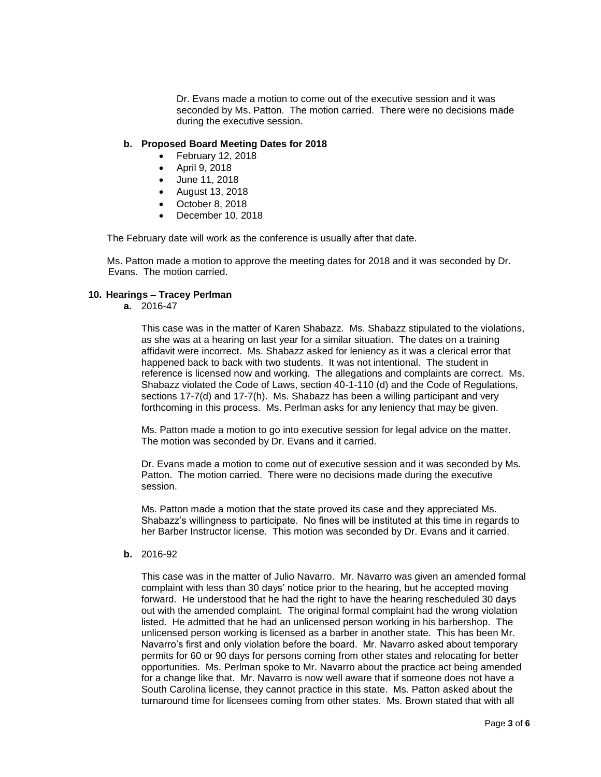Dr. Evans made a motion to come out of the executive session and it was seconded by Ms. Patton. The motion carried. There were no decisions made during the executive session.

### **b. Proposed Board Meeting Dates for 2018**

- February 12, 2018
- April 9, 2018
- June 11, 2018
- August 13, 2018
- October 8, 2018
- December 10, 2018

The February date will work as the conference is usually after that date.

Ms. Patton made a motion to approve the meeting dates for 2018 and it was seconded by Dr. Evans. The motion carried.

### **10. Hearings – Tracey Perlman**

**a.** 2016-47

This case was in the matter of Karen Shabazz. Ms. Shabazz stipulated to the violations, as she was at a hearing on last year for a similar situation. The dates on a training affidavit were incorrect. Ms. Shabazz asked for leniency as it was a clerical error that happened back to back with two students. It was not intentional. The student in reference is licensed now and working. The allegations and complaints are correct. Ms. Shabazz violated the Code of Laws, section 40-1-110 (d) and the Code of Regulations, sections 17-7(d) and 17-7(h). Ms. Shabazz has been a willing participant and very forthcoming in this process. Ms. Perlman asks for any leniency that may be given.

Ms. Patton made a motion to go into executive session for legal advice on the matter. The motion was seconded by Dr. Evans and it carried.

Dr. Evans made a motion to come out of executive session and it was seconded by Ms. Patton. The motion carried. There were no decisions made during the executive session.

Ms. Patton made a motion that the state proved its case and they appreciated Ms. Shabazz's willingness to participate. No fines will be instituted at this time in regards to her Barber Instructor license. This motion was seconded by Dr. Evans and it carried.

**b.** 2016-92

This case was in the matter of Julio Navarro. Mr. Navarro was given an amended formal complaint with less than 30 days' notice prior to the hearing, but he accepted moving forward. He understood that he had the right to have the hearing rescheduled 30 days out with the amended complaint. The original formal complaint had the wrong violation listed. He admitted that he had an unlicensed person working in his barbershop. The unlicensed person working is licensed as a barber in another state. This has been Mr. Navarro's first and only violation before the board. Mr. Navarro asked about temporary permits for 60 or 90 days for persons coming from other states and relocating for better opportunities. Ms. Perlman spoke to Mr. Navarro about the practice act being amended for a change like that. Mr. Navarro is now well aware that if someone does not have a South Carolina license, they cannot practice in this state. Ms. Patton asked about the turnaround time for licensees coming from other states. Ms. Brown stated that with all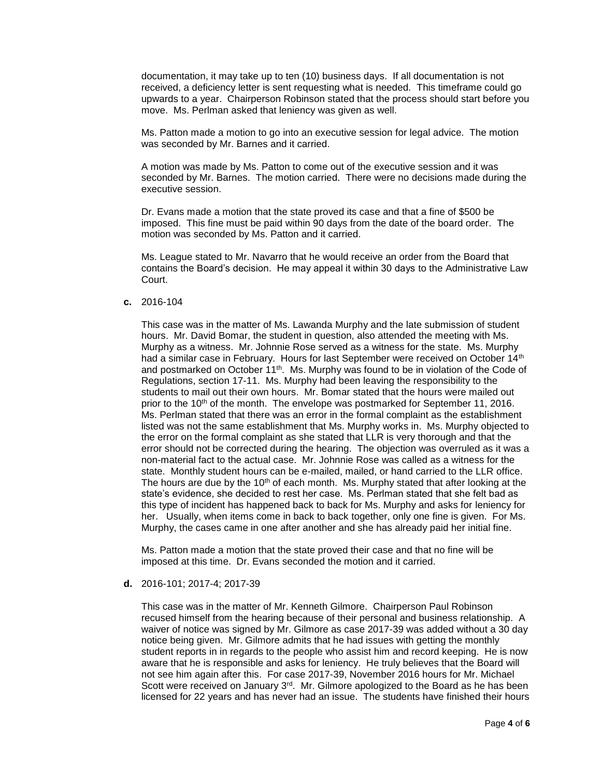documentation, it may take up to ten (10) business days. If all documentation is not received, a deficiency letter is sent requesting what is needed. This timeframe could go upwards to a year. Chairperson Robinson stated that the process should start before you move. Ms. Perlman asked that leniency was given as well.

Ms. Patton made a motion to go into an executive session for legal advice. The motion was seconded by Mr. Barnes and it carried.

A motion was made by Ms. Patton to come out of the executive session and it was seconded by Mr. Barnes. The motion carried. There were no decisions made during the executive session.

Dr. Evans made a motion that the state proved its case and that a fine of \$500 be imposed. This fine must be paid within 90 days from the date of the board order. The motion was seconded by Ms. Patton and it carried.

Ms. League stated to Mr. Navarro that he would receive an order from the Board that contains the Board's decision. He may appeal it within 30 days to the Administrative Law Court.

**c.** 2016-104

This case was in the matter of Ms. Lawanda Murphy and the late submission of student hours. Mr. David Bomar, the student in question, also attended the meeting with Ms. Murphy as a witness. Mr. Johnnie Rose served as a witness for the state. Ms. Murphy had a similar case in February. Hours for last September were received on October 14<sup>th</sup> and postmarked on October 11<sup>th</sup>. Ms. Murphy was found to be in violation of the Code of Regulations, section 17-11. Ms. Murphy had been leaving the responsibility to the students to mail out their own hours. Mr. Bomar stated that the hours were mailed out prior to the 10<sup>th</sup> of the month. The envelope was postmarked for September 11, 2016. Ms. Perlman stated that there was an error in the formal complaint as the establishment listed was not the same establishment that Ms. Murphy works in. Ms. Murphy objected to the error on the formal complaint as she stated that LLR is very thorough and that the error should not be corrected during the hearing. The objection was overruled as it was a non-material fact to the actual case. Mr. Johnnie Rose was called as a witness for the state. Monthly student hours can be e-mailed, mailed, or hand carried to the LLR office. The hours are due by the  $10<sup>th</sup>$  of each month. Ms. Murphy stated that after looking at the state's evidence, she decided to rest her case. Ms. Perlman stated that she felt bad as this type of incident has happened back to back for Ms. Murphy and asks for leniency for her. Usually, when items come in back to back together, only one fine is given. For Ms. Murphy, the cases came in one after another and she has already paid her initial fine.

Ms. Patton made a motion that the state proved their case and that no fine will be imposed at this time. Dr. Evans seconded the motion and it carried.

## **d.** 2016-101; 2017-4; 2017-39

This case was in the matter of Mr. Kenneth Gilmore. Chairperson Paul Robinson recused himself from the hearing because of their personal and business relationship. A waiver of notice was signed by Mr. Gilmore as case 2017-39 was added without a 30 day notice being given. Mr. Gilmore admits that he had issues with getting the monthly student reports in in regards to the people who assist him and record keeping. He is now aware that he is responsible and asks for leniency. He truly believes that the Board will not see him again after this. For case 2017-39, November 2016 hours for Mr. Michael Scott were received on January 3<sup>rd</sup>. Mr. Gilmore apologized to the Board as he has been licensed for 22 years and has never had an issue. The students have finished their hours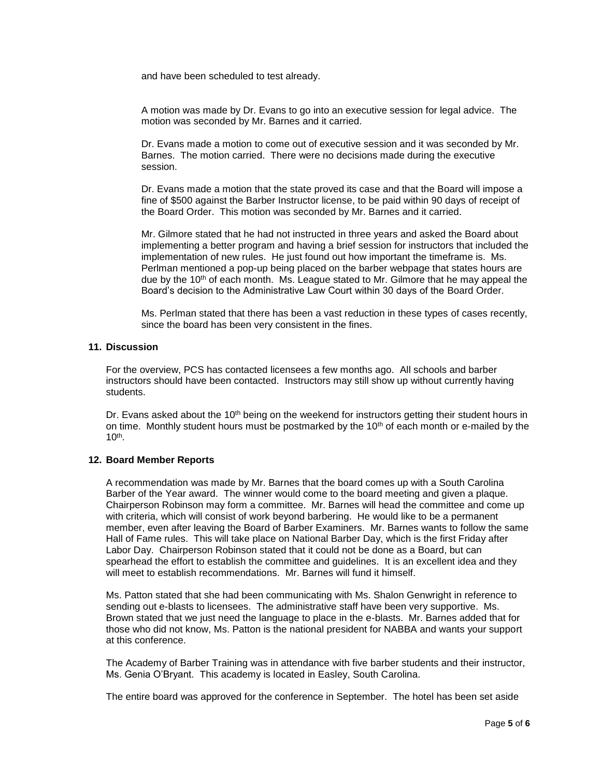and have been scheduled to test already.

A motion was made by Dr. Evans to go into an executive session for legal advice. The motion was seconded by Mr. Barnes and it carried.

Dr. Evans made a motion to come out of executive session and it was seconded by Mr. Barnes. The motion carried. There were no decisions made during the executive session.

Dr. Evans made a motion that the state proved its case and that the Board will impose a fine of \$500 against the Barber Instructor license, to be paid within 90 days of receipt of the Board Order. This motion was seconded by Mr. Barnes and it carried.

Mr. Gilmore stated that he had not instructed in three years and asked the Board about implementing a better program and having a brief session for instructors that included the implementation of new rules. He just found out how important the timeframe is. Ms. Perlman mentioned a pop-up being placed on the barber webpage that states hours are due by the  $10<sup>th</sup>$  of each month. Ms. League stated to Mr. Gilmore that he may appeal the Board's decision to the Administrative Law Court within 30 days of the Board Order.

Ms. Perlman stated that there has been a vast reduction in these types of cases recently, since the board has been very consistent in the fines.

### **11. Discussion**

For the overview, PCS has contacted licensees a few months ago. All schools and barber instructors should have been contacted. Instructors may still show up without currently having students.

Dr. Evans asked about the  $10<sup>th</sup>$  being on the weekend for instructors getting their student hours in on time. Monthly student hours must be postmarked by the  $10<sup>th</sup>$  of each month or e-mailed by the  $10<sup>th</sup>$ .

## **12. Board Member Reports**

A recommendation was made by Mr. Barnes that the board comes up with a South Carolina Barber of the Year award. The winner would come to the board meeting and given a plaque. Chairperson Robinson may form a committee. Mr. Barnes will head the committee and come up with criteria, which will consist of work beyond barbering. He would like to be a permanent member, even after leaving the Board of Barber Examiners. Mr. Barnes wants to follow the same Hall of Fame rules. This will take place on National Barber Day, which is the first Friday after Labor Day. Chairperson Robinson stated that it could not be done as a Board, but can spearhead the effort to establish the committee and guidelines. It is an excellent idea and they will meet to establish recommendations. Mr. Barnes will fund it himself.

Ms. Patton stated that she had been communicating with Ms. Shalon Genwright in reference to sending out e-blasts to licensees. The administrative staff have been very supportive. Ms. Brown stated that we just need the language to place in the e-blasts. Mr. Barnes added that for those who did not know, Ms. Patton is the national president for NABBA and wants your support at this conference.

The Academy of Barber Training was in attendance with five barber students and their instructor, Ms. Genia O'Bryant. This academy is located in Easley, South Carolina.

The entire board was approved for the conference in September. The hotel has been set aside